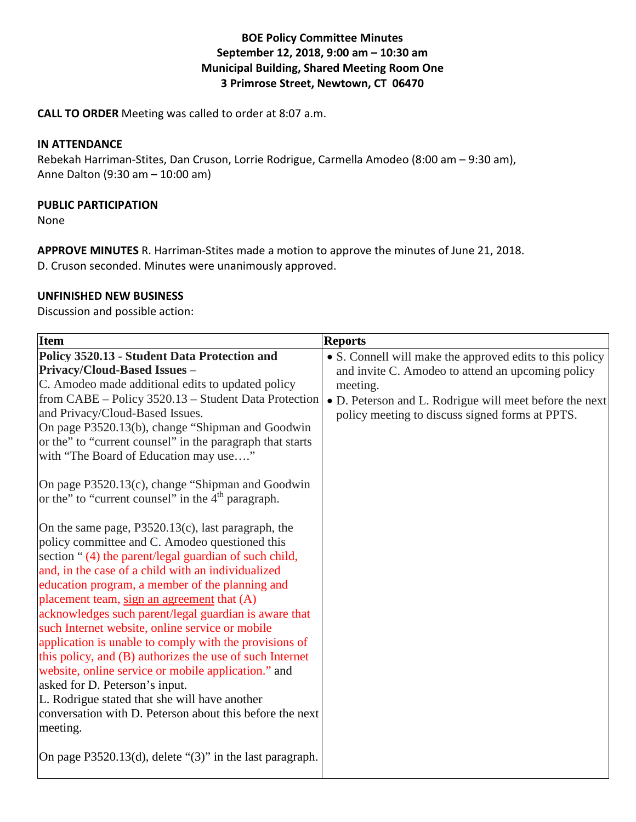# **BOE Policy Committee Minutes September 12, 2018, 9:00 am – 10:30 am Municipal Building, Shared Meeting Room One 3 Primrose Street, Newtown, CT 06470**

**CALL TO ORDER** Meeting was called to order at 8:07 a.m.

#### **IN ATTENDANCE**

Rebekah Harriman-Stites, Dan Cruson, Lorrie Rodrigue, Carmella Amodeo (8:00 am – 9:30 am), Anne Dalton (9:30 am – 10:00 am)

#### **PUBLIC PARTICIPATION**

None

**APPROVE MINUTES** R. Harriman-Stites made a motion to approve the minutes of June 21, 2018. D. Cruson seconded. Minutes were unanimously approved.

#### **UNFINISHED NEW BUSINESS**

Discussion and possible action:

| <b>Item</b>                                                                                                                                                                                                            | <b>Reports</b>                                           |
|------------------------------------------------------------------------------------------------------------------------------------------------------------------------------------------------------------------------|----------------------------------------------------------|
| Policy 3520.13 - Student Data Protection and                                                                                                                                                                           | • S. Connell will make the approved edits to this policy |
| <b>Privacy/Cloud-Based Issues -</b>                                                                                                                                                                                    | and invite C. Amodeo to attend an upcoming policy        |
| C. Amodeo made additional edits to updated policy                                                                                                                                                                      | meeting.                                                 |
| from CABE – Policy 3520.13 – Student Data Protection                                                                                                                                                                   | • D. Peterson and L. Rodrigue will meet before the next  |
| and Privacy/Cloud-Based Issues.                                                                                                                                                                                        | policy meeting to discuss signed forms at PPTS.          |
| On page P3520.13(b), change "Shipman and Goodwin                                                                                                                                                                       |                                                          |
| or the" to "current counsel" in the paragraph that starts                                                                                                                                                              |                                                          |
| with "The Board of Education may use"                                                                                                                                                                                  |                                                          |
| On page P3520.13(c), change "Shipman and Goodwin<br>or the" to "current counsel" in the 4 <sup>th</sup> paragraph.                                                                                                     |                                                          |
| On the same page, $P3520.13(c)$ , last paragraph, the<br>policy committee and C. Amodeo questioned this<br>section "(4) the parent/legal guardian of such child,<br>and, in the case of a child with an individualized |                                                          |
| education program, a member of the planning and                                                                                                                                                                        |                                                          |
| placement team, sign an agreement that (A)                                                                                                                                                                             |                                                          |
| acknowledges such parent/legal guardian is aware that                                                                                                                                                                  |                                                          |
| such Internet website, online service or mobile                                                                                                                                                                        |                                                          |
| application is unable to comply with the provisions of                                                                                                                                                                 |                                                          |
| this policy, and (B) authorizes the use of such Internet                                                                                                                                                               |                                                          |
| website, online service or mobile application." and                                                                                                                                                                    |                                                          |
| asked for D. Peterson's input.                                                                                                                                                                                         |                                                          |
| L. Rodrigue stated that she will have another                                                                                                                                                                          |                                                          |
| conversation with D. Peterson about this before the next                                                                                                                                                               |                                                          |
| meeting.                                                                                                                                                                                                               |                                                          |
| On page $P3520.13(d)$ , delete "(3)" in the last paragraph.                                                                                                                                                            |                                                          |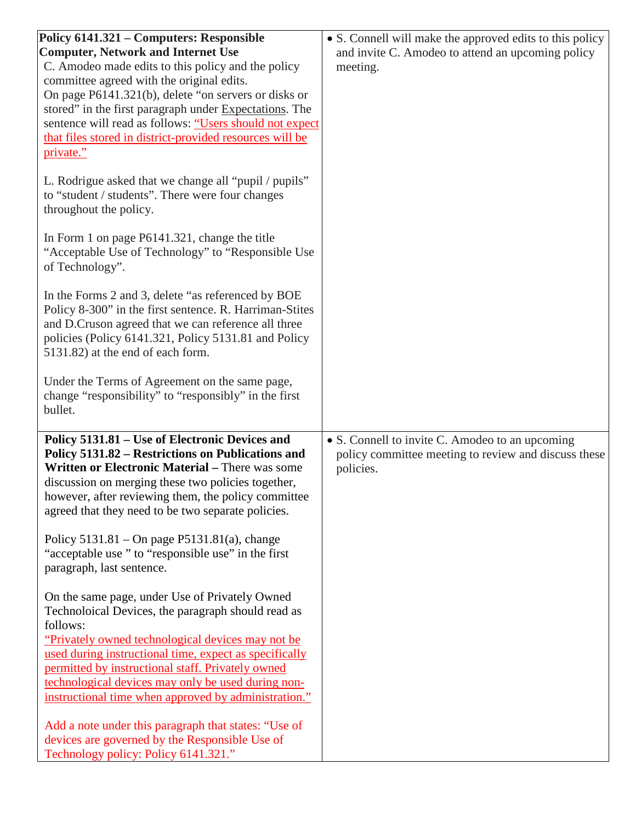| Policy 6141.321 – Computers: Responsible<br><b>Computer, Network and Internet Use</b><br>C. Amodeo made edits to this policy and the policy<br>committee agreed with the original edits.<br>On page P6141.321(b), delete "on servers or disks or<br>stored" in the first paragraph under Expectations. The<br>sentence will read as follows: "Users should not expect<br>that files stored in district-provided resources will be<br>private." | • S. Connell will make the approved edits to this policy<br>and invite C. Amodeo to attend an upcoming policy<br>meeting. |
|------------------------------------------------------------------------------------------------------------------------------------------------------------------------------------------------------------------------------------------------------------------------------------------------------------------------------------------------------------------------------------------------------------------------------------------------|---------------------------------------------------------------------------------------------------------------------------|
| L. Rodrigue asked that we change all "pupil / pupils"<br>to "student / students". There were four changes<br>throughout the policy.                                                                                                                                                                                                                                                                                                            |                                                                                                                           |
| In Form 1 on page P6141.321, change the title<br>"Acceptable Use of Technology" to "Responsible Use<br>of Technology".                                                                                                                                                                                                                                                                                                                         |                                                                                                                           |
| In the Forms 2 and 3, delete "as referenced by BOE<br>Policy 8-300" in the first sentence. R. Harriman-Stites<br>and D.Cruson agreed that we can reference all three<br>policies (Policy 6141.321, Policy 5131.81 and Policy<br>5131.82) at the end of each form.                                                                                                                                                                              |                                                                                                                           |
| Under the Terms of Agreement on the same page,<br>change "responsibility" to "responsibly" in the first<br>bullet.                                                                                                                                                                                                                                                                                                                             |                                                                                                                           |
| Policy 5131.81 - Use of Electronic Devices and<br>Policy 5131.82 – Restrictions on Publications and<br>Written or Electronic Material - There was some<br>discussion on merging these two policies together,<br>however, after reviewing them, the policy committee<br>agreed that they need to be two separate policies.                                                                                                                      | • S. Connell to invite C. Amodeo to an upcoming<br>policy committee meeting to review and discuss these<br>policies.      |
| Policy $5131.81 - On$ page $P5131.81(a)$ , change<br>"acceptable use" to "responsible use" in the first<br>paragraph, last sentence.                                                                                                                                                                                                                                                                                                           |                                                                                                                           |
| On the same page, under Use of Privately Owned<br>Technoloical Devices, the paragraph should read as<br>follows:<br>"Privately owned technological devices may not be<br>used during instructional time, expect as specifically<br>permitted by instructional staff. Privately owned<br>technological devices may only be used during non-<br>instructional time when approved by administration."                                             |                                                                                                                           |
| Add a note under this paragraph that states: "Use of<br>devices are governed by the Responsible Use of<br>Technology policy: Policy 6141.321."                                                                                                                                                                                                                                                                                                 |                                                                                                                           |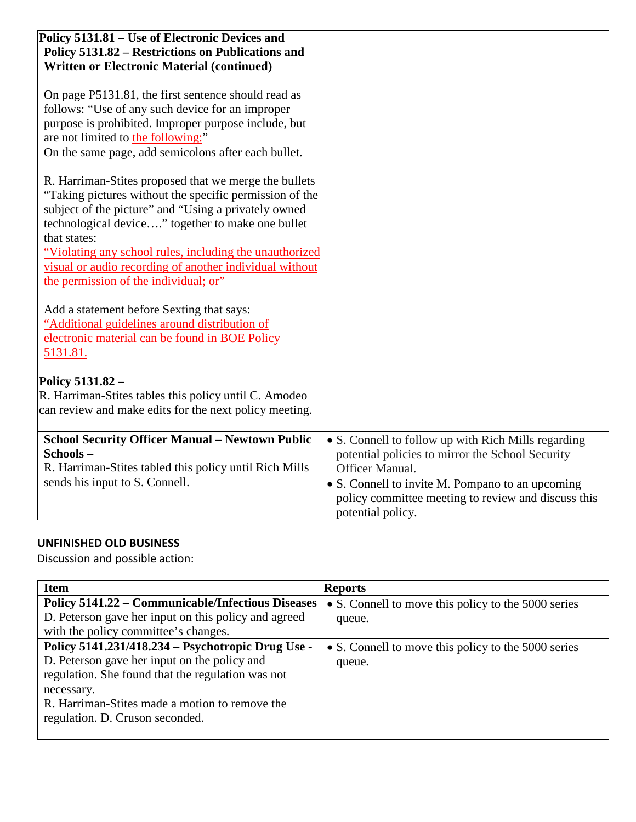| Policy 5131.81 – Use of Electronic Devices and<br>Policy 5131.82 – Restrictions on Publications and                                                                                                                                                                                                                                                                                                                                                                                                                                                                      |                                                                                                                                                                                                                                                            |
|--------------------------------------------------------------------------------------------------------------------------------------------------------------------------------------------------------------------------------------------------------------------------------------------------------------------------------------------------------------------------------------------------------------------------------------------------------------------------------------------------------------------------------------------------------------------------|------------------------------------------------------------------------------------------------------------------------------------------------------------------------------------------------------------------------------------------------------------|
| <b>Written or Electronic Material (continued)</b>                                                                                                                                                                                                                                                                                                                                                                                                                                                                                                                        |                                                                                                                                                                                                                                                            |
| On page P5131.81, the first sentence should read as<br>follows: "Use of any such device for an improper<br>purpose is prohibited. Improper purpose include, but<br>are not limited to the following:"<br>On the same page, add semicolons after each bullet.<br>R. Harriman-Stites proposed that we merge the bullets<br>"Taking pictures without the specific permission of the<br>subject of the picture" and "Using a privately owned<br>technological device" together to make one bullet<br>that states:<br>"Violating any school rules, including the unauthorized |                                                                                                                                                                                                                                                            |
| visual or audio recording of another individual without<br>the permission of the individual; or"                                                                                                                                                                                                                                                                                                                                                                                                                                                                         |                                                                                                                                                                                                                                                            |
| Add a statement before Sexting that says:<br>"Additional guidelines around distribution of<br>electronic material can be found in BOE Policy<br>5131.81.                                                                                                                                                                                                                                                                                                                                                                                                                 |                                                                                                                                                                                                                                                            |
| Policy 5131.82 -<br>R. Harriman-Stites tables this policy until C. Amodeo<br>can review and make edits for the next policy meeting.                                                                                                                                                                                                                                                                                                                                                                                                                                      |                                                                                                                                                                                                                                                            |
| <b>School Security Officer Manual - Newtown Public</b><br>Schools-<br>R. Harriman-Stites tabled this policy until Rich Mills<br>sends his input to S. Connell.                                                                                                                                                                                                                                                                                                                                                                                                           | • S. Connell to follow up with Rich Mills regarding<br>potential policies to mirror the School Security<br>Officer Manual.<br>• S. Connell to invite M. Pompano to an upcoming<br>policy committee meeting to review and discuss this<br>potential policy. |

# **UNFINISHED OLD BUSINESS**

Discussion and possible action:

| <b>Item</b>                                              | <b>Reports</b>                                      |
|----------------------------------------------------------|-----------------------------------------------------|
| <b>Policy 5141.22 – Communicable/Infectious Diseases</b> | • S. Connell to move this policy to the 5000 series |
| D. Peterson gave her input on this policy and agreed     | queue.                                              |
| with the policy committee's changes.                     |                                                     |
| Policy 5141.231/418.234 - Psychotropic Drug Use -        | • S. Connell to move this policy to the 5000 series |
| D. Peterson gave her input on the policy and             | queue.                                              |
| regulation. She found that the regulation was not        |                                                     |
| necessary.                                               |                                                     |
| R. Harriman-Stites made a motion to remove the           |                                                     |
| regulation. D. Cruson seconded.                          |                                                     |
|                                                          |                                                     |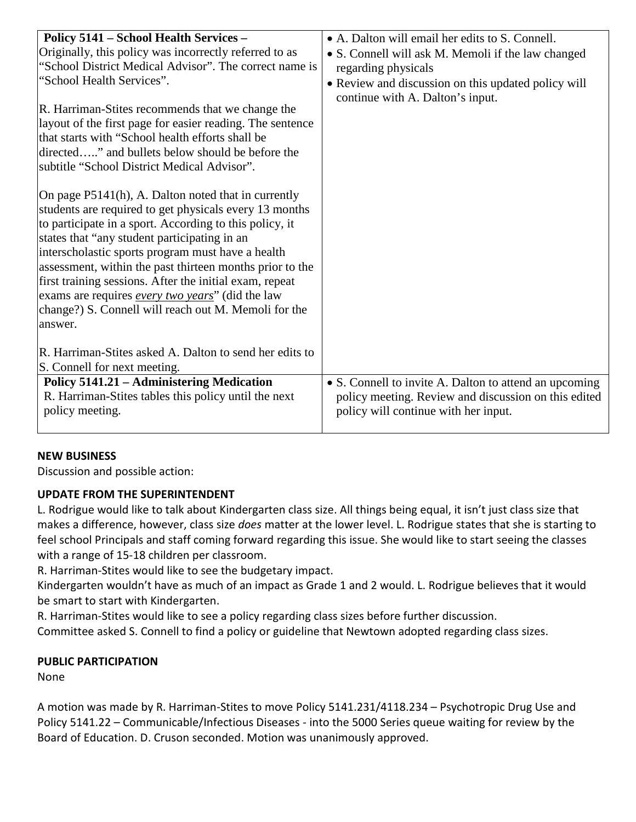| Policy 5141 - School Health Services -                    | • A. Dalton will email her edits to S. Connell.        |
|-----------------------------------------------------------|--------------------------------------------------------|
| Originally, this policy was incorrectly referred to as    | • S. Connell will ask M. Memoli if the law changed     |
| "School District Medical Advisor". The correct name is    | regarding physicals                                    |
| "School Health Services".                                 | • Review and discussion on this updated policy will    |
|                                                           | continue with A. Dalton's input.                       |
| R. Harriman-Stites recommends that we change the          |                                                        |
| layout of the first page for easier reading. The sentence |                                                        |
| that starts with "School health efforts shall be          |                                                        |
| directed" and bullets below should be before the          |                                                        |
| subtitle "School District Medical Advisor".               |                                                        |
|                                                           |                                                        |
| On page P5141(h), A. Dalton noted that in currently       |                                                        |
| students are required to get physicals every 13 months    |                                                        |
| to participate in a sport. According to this policy, it   |                                                        |
| states that "any student participating in an              |                                                        |
| interscholastic sports program must have a health         |                                                        |
| assessment, within the past thirteen months prior to the  |                                                        |
| first training sessions. After the initial exam, repeat   |                                                        |
| exams are requires every two years" (did the law          |                                                        |
| change?) S. Connell will reach out M. Memoli for the      |                                                        |
| answer.                                                   |                                                        |
|                                                           |                                                        |
| R. Harriman-Stites asked A. Dalton to send her edits to   |                                                        |
| S. Connell for next meeting.                              |                                                        |
| Policy 5141.21 - Administering Medication                 | • S. Connell to invite A. Dalton to attend an upcoming |
| R. Harriman-Stites tables this policy until the next      | policy meeting. Review and discussion on this edited   |
| policy meeting.                                           | policy will continue with her input.                   |
|                                                           |                                                        |
|                                                           |                                                        |

## **NEW BUSINESS**

Discussion and possible action:

## **UPDATE FROM THE SUPERINTENDENT**

L. Rodrigue would like to talk about Kindergarten class size. All things being equal, it isn't just class size that makes a difference, however, class size *does* matter at the lower level. L. Rodrigue states that she is starting to feel school Principals and staff coming forward regarding this issue. She would like to start seeing the classes with a range of 15-18 children per classroom.

R. Harriman-Stites would like to see the budgetary impact.

Kindergarten wouldn't have as much of an impact as Grade 1 and 2 would. L. Rodrigue believes that it would be smart to start with Kindergarten.

R. Harriman-Stites would like to see a policy regarding class sizes before further discussion.

Committee asked S. Connell to find a policy or guideline that Newtown adopted regarding class sizes.

## **PUBLIC PARTICIPATION**

None

A motion was made by R. Harriman-Stites to move Policy 5141.231/4118.234 – Psychotropic Drug Use and Policy 5141.22 – Communicable/Infectious Diseases - into the 5000 Series queue waiting for review by the Board of Education. D. Cruson seconded. Motion was unanimously approved.